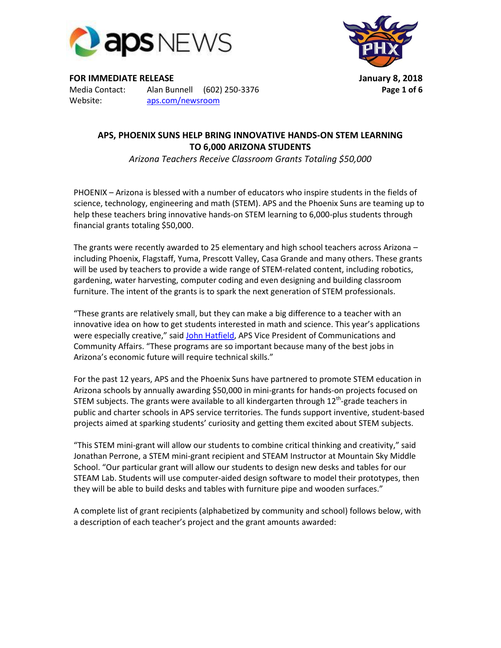

Website: [aps.com/newsroom](http://www.aps.com/education)



**FOR IMMEDIATE RELEASE January 8, 2018**  Media Contact: Alan Bunnell (602) 250-3376 **Page 1 of 6**

## **APS, PHOENIX SUNS HELP BRING INNOVATIVE HANDS-ON STEM LEARNING TO 6,000 ARIZONA STUDENTS**

*Arizona Teachers Receive Classroom Grants Totaling \$50,000*

PHOENIX – Arizona is blessed with a number of educators who inspire students in the fields of science, technology, engineering and math (STEM). APS and the Phoenix Suns are teaming up to help these teachers bring innovative hands-on STEM learning to 6,000-plus students through financial grants totaling \$50,000.

The grants were recently awarded to 25 elementary and high school teachers across Arizona – including Phoenix, Flagstaff, Yuma, Prescott Valley, Casa Grande and many others. These grants will be used by teachers to provide a wide range of STEM-related content, including robotics, gardening, water harvesting, computer coding and even designing and building classroom furniture. The intent of the grants is to spark the next generation of STEM professionals.

"These grants are relatively small, but they can make a big difference to a teacher with an innovative idea on how to get students interested in math and science. This year's applications were especially creative," said [John Hatfield,](http://www.pinnaclewest.com/about-us/leadership/john-hatfield/) APS Vice President of Communications and Community Affairs. "These programs are so important because many of the best jobs in Arizona's economic future will require technical skills."

For the past 12 years, APS and the Phoenix Suns have partnered to promote STEM education in Arizona schools by annually awarding \$50,000 in mini-grants for hands-on projects focused on STEM subjects. The grants were available to all kindergarten through  $12^{\text{th}}$ -grade teachers in public and charter schools in APS service territories. The funds support inventive, student-based projects aimed at sparking students' curiosity and getting them excited about STEM subjects.

"This STEM mini-grant will allow our students to combine critical thinking and creativity," said Jonathan Perrone, a STEM mini-grant recipient and STEAM Instructor at Mountain Sky Middle School. "Our particular grant will allow our students to design new desks and tables for our STEAM Lab. Students will use computer-aided design software to model their prototypes, then they will be able to build desks and tables with furniture pipe and wooden surfaces."

A complete list of grant recipients (alphabetized by community and school) follows below, with a description of each teacher's project and the grant amounts awarded: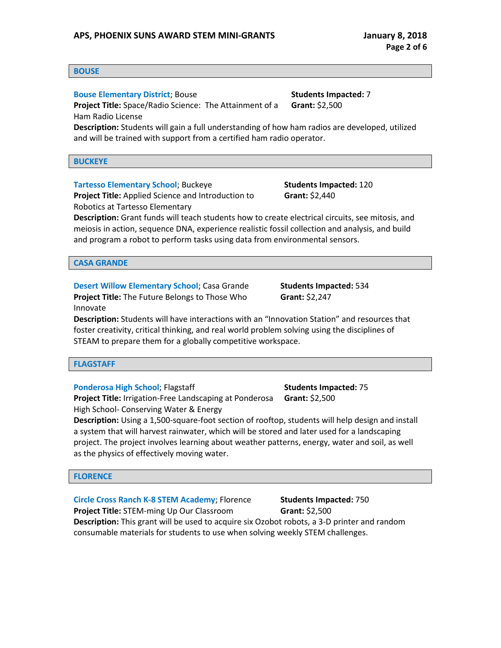## **APS, PHOENIX SUNS AWARD STEM MINI-GRANTS January 8, 2018**

#### **BOUSE**

#### **Bouse Elementary District; Bouse Manual Students Impacted: 7 Students Impacted: 7**

**Project Title:** Space/Radio Science: The Attainment of a Ham Radio License

**Description:** Students will gain a full understanding of how ham radios are developed, utilized and will be trained with support from a certified ham radio operator.

**BUCKEYE**

**Tartesso Elementary School; Buckeye Students Impacted: 120** 

**Project Title:** Applied Science and Introduction to Robotics at Tartesso Elementary

**Description:** Grant funds will teach students how to create electrical circuits, see mitosis, and meiosis in action, sequence DNA, experience realistic fossil collection and analysis, and build and program a robot to perform tasks using data from environmental sensors.

#### **CASA GRANDE**

**Desert Willow Elementary School; Casa Grande Students Impacted: 534 Project Title:** The Future Belongs to Those Who Innovate

**Grant:** \$2,247

**Grant:** \$2,440

**Description:** Students will have interactions with an "Innovation Station" and resources that foster creativity, critical thinking, and real world problem solving using the disciplines of STEAM to prepare them for a globally competitive workspace.

## **FLAGSTAFF**

**Ponderosa High School**; Flagstaff **Students Impacted: 75** Students Impacted: 75 **Project Title:** Irrigation-Free Landscaping at Ponderosa **Grant:** \$2,500

High School- Conserving Water & Energy

**Description:** Using a 1,500-square-foot section of rooftop, students will help design and install a system that will harvest rainwater, which will be stored and later used for a landscaping project. The project involves learning about weather patterns, energy, water and soil, as well as the physics of effectively moving water.

#### **FLORENCE**

**Circle Cross Ranch K-8 STEM Academy**; Florence **Students Impacted:** 750 **Project Title:** STEM-ming Up Our Classroom **Grant:** \$2,500 **Description:** This grant will be used to acquire six Ozobot robots, a 3-D printer and random consumable materials for students to use when solving weekly STEM challenges.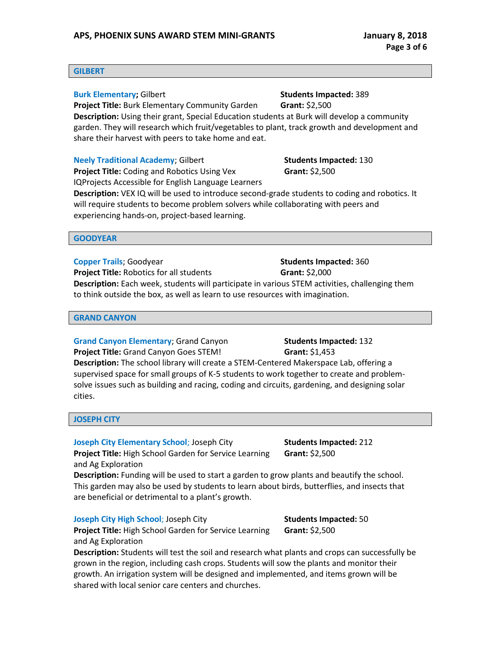#### **GILBERT**

## **Burk Elementary; Gilbert Students Impacted: 389**

**Project Title:** Burk Elementary Community Garden **Grant:** \$2,500 **Description:** Using their grant, Special Education students at Burk will develop a community garden. They will research which fruit/vegetables to plant, track growth and development and share their harvest with peers to take home and eat.

## **Neely Traditional Academy**; Gilbert **Students Impacted: 130**

**Project Title:** Coding and Robotics Using Vex IQProjects Accessible for English Language Learners

**Description:** VEX IQ will be used to introduce second-grade students to coding and robotics. It will require students to become problem solvers while collaborating with peers and experiencing hands-on, project-based learning.

#### **GOODYEAR**

**Copper Trails**; Goodyear **Students Impacted: 360 Project Title:** Robotics for all students **Grant:** \$2,000 **Description:** Each week, students will participate in various STEM activities, challenging them to think outside the box, as well as learn to use resources with imagination.

#### **GRAND CANYON**

**Grand Canyon Elementary**; Grand Canyon **Students Impacted: 132 Project Title:** Grand Canyon Goes STEM! **Grant:** \$1,453 **Description:** The school library will create a STEM-Centered Makerspace Lab, offering a supervised space for small groups of K-5 students to work together to create and problemsolve issues such as building and racing, coding and circuits, gardening, and designing solar cities.

#### **JOSEPH CITY**

and Ag Exploration

**Joseph City Elementary School**; Joseph City **Students Impacted:** 212 **Project Title:** High School Garden for Service Learning

**Grant:** \$2,500

**Description:** Funding will be used to start a garden to grow plants and beautify the school. This garden may also be used by students to learn about birds, butterflies, and insects that are beneficial or detrimental to a plant's growth.

#### **Joseph City High School**; Joseph City **Students Impacted: 50**

**Project Title:** High School Garden for Service Learning and Ag Exploration

**Description:** Students will test the soil and research what plants and crops can successfully be grown in the region, including cash crops. Students will sow the plants and monitor their growth. An irrigation system will be designed and implemented, and items grown will be shared with local senior care centers and churches.

**Grant:** \$2,500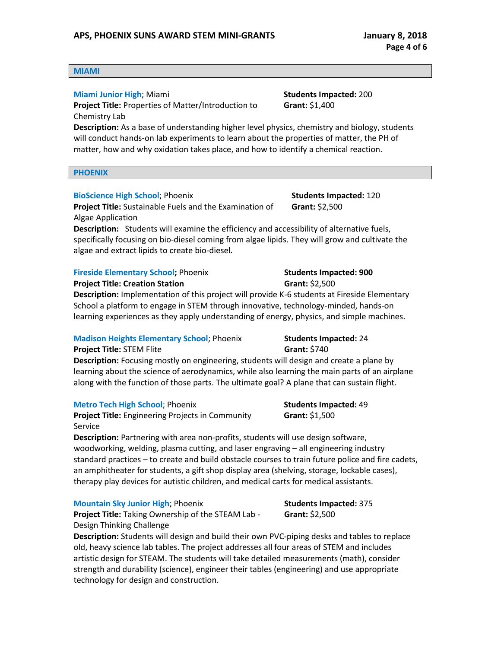#### **MIAMI**

## **Miami Junior High**; Miami **Students Impacted: 200**

**Project Title:** Properties of Matter/Introduction to Chemistry Lab

**Grant:** \$1,400

**Description:** As a base of understanding higher level physics, chemistry and biology, students will conduct hands-on lab experiments to learn about the properties of matter, the PH of matter, how and why oxidation takes place, and how to identify a chemical reaction.

**PHOENIX**

#### **BioScience High School**; Phoenix **Students Impacted:** 120

**Project Title:** Sustainable Fuels and the Examination of Algae Application

**Description:** Students will examine the efficiency and accessibility of alternative fuels, specifically focusing on bio-diesel coming from algae lipids. They will grow and cultivate the algae and extract lipids to create bio-diesel.

#### **Fireside Elementary School; Phoenix Students Impacted: 900**

**Project Title: Creation Station Grant:** \$2,500

**Description:** Implementation of this project will provide K-6 students at Fireside Elementary School a platform to engage in STEM through innovative, technology-minded, hands-on learning experiences as they apply understanding of energy, physics, and simple machines.

#### **Madison Heights Elementary School**; Phoenix **Students Impacted:** 24

**Project Title:** STEM Flite **Grant:** \$740

**Description:** Focusing mostly on engineering, students will design and create a plane by learning about the science of aerodynamics, while also learning the main parts of an airplane along with the function of those parts. The ultimate goal? A plane that can sustain flight.

#### **Metro Tech High School**; Phoenix<br>
Students Impacted: 49

**Project Title:** Engineering Projects in Community Service

**Description:** Partnering with area non-profits, students will use design software, woodworking, welding, plasma cutting, and laser engraving – all engineering industry standard practices – to create and build obstacle courses to train future police and fire cadets, an amphitheater for students, a gift shop display area (shelving, storage, lockable cases), therapy play devices for autistic children, and medical carts for medical assistants.

#### **Mountain Sky Junior High**; Phoenix **Students Impacted: 375**

**Project Title:** Taking Ownership of the STEAM Lab - Design Thinking Challenge

**Description:** Students will design and build their own PVC-piping desks and tables to replace old, heavy science lab tables. The project addresses all four areas of STEM and includes artistic design for STEAM. The students will take detailed measurements (math), consider strength and durability (science), engineer their tables (engineering) and use appropriate technology for design and construction.

**Grant:** \$1,500

**Grant:** \$2,500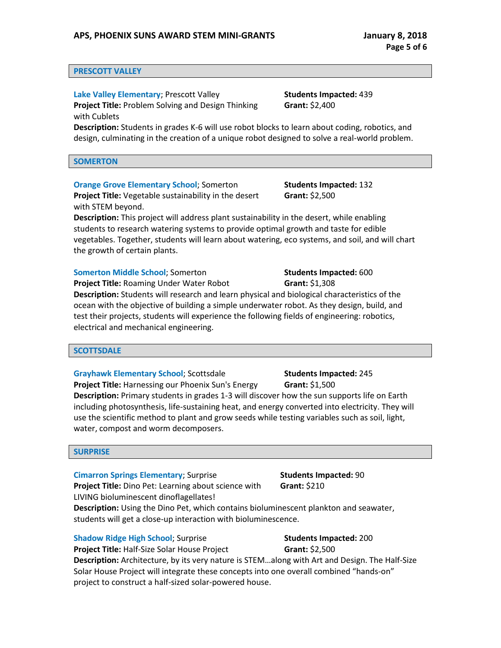#### **PRESCOTT VALLEY**

**Lake Valley Elementary**; Prescott Valley **Students Impacted: 439 Project Title:** Problem Solving and Design Thinking with Cublets

**Grant:** \$2,400

**Description:** Students in grades K-6 will use robot blocks to learn about coding, robotics, and design, culminating in the creation of a unique robot designed to solve a real-world problem.

**SOMERTON**

**Orange Grove Elementary School**; Somerton **Students Impacted:** 132

**Project Title:** Vegetable sustainability in the desert with STEM beyond.

**Description:** This project will address plant sustainability in the desert, while enabling students to research watering systems to provide optimal growth and taste for edible vegetables. Together, students will learn about watering, eco systems, and soil, and will chart the growth of certain plants.

#### **Somerton Middle School**; Somerton **Students Impacted:** 600

**Project Title:** Roaming Under Water Robot **Grant:** \$1,308 **Description:** Students will research and learn physical and biological characteristics of the ocean with the objective of building a simple underwater robot. As they design, build, and test their projects, students will experience the following fields of engineering: robotics, electrical and mechanical engineering.

#### **SCOTTSDALE**

**Grayhawk Elementary School**; Scottsdale **Students Impacted: 245** 

**Project Title:** Harnessing our Phoenix Sun's Energy **Grant:** \$1,500 **Description:** Primary students in grades 1-3 will discover how the sun supports life on Earth including photosynthesis, life-sustaining heat, and energy converted into electricity. They will use the scientific method to plant and grow seeds while testing variables such as soil, light, water, compost and worm decomposers.

#### **SURPRISE**

**Cimarron Springs Elementary**; Surprise **Students Impacted: 90** 

**Project Title:** Dino Pet: Learning about science with LIVING bioluminescent dinoflagellates! **Description:** Using the Dino Pet, which contains bioluminescent plankton and seawater,

students will get a close-up interaction with bioluminescence.

**Shadow Ridge High School**; Surprise **Students Impacted:** 200

**Project Title:** Half-Size Solar House Project **Grant:** \$2,500 **Description:** Architecture, by its very nature is STEM…along with Art and Design. The Half-Size Solar House Project will integrate these concepts into one overall combined "hands-on" project to construct a half-sized solar-powered house.

**Grant:** \$210